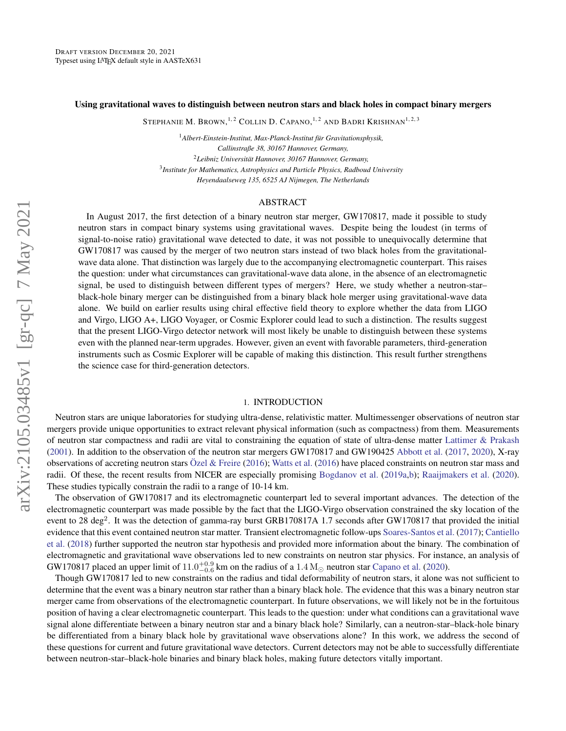### Using gravitational waves to distinguish between neutron stars and black holes in compact binary mergers

Stephanie M. Brown,  $^{1,2}$  Collin D. Capano,  $^{1,2}$  and Badri Krishnan $^{1,2,3}$ 

<sup>1</sup>*Albert-Einstein-Institut, Max-Planck-Institut fur Gravitationsphysik, ¨ Callinstraße 38, 30167 Hannover, Germany,* <sup>2</sup>*Leibniz Universitat Hannover, 30167 Hannover, Germany, ¨* 3 *Institute for Mathematics, Astrophysics and Particle Physics, Radboud University Heyendaalseweg 135, 6525 AJ Nijmegen, The Netherlands*

### ABSTRACT

In August 2017, the first detection of a binary neutron star merger, GW170817, made it possible to study neutron stars in compact binary systems using gravitational waves. Despite being the loudest (in terms of signal-to-noise ratio) gravitational wave detected to date, it was not possible to unequivocally determine that GW170817 was caused by the merger of two neutron stars instead of two black holes from the gravitationalwave data alone. That distinction was largely due to the accompanying electromagnetic counterpart. This raises the question: under what circumstances can gravitational-wave data alone, in the absence of an electromagnetic signal, be used to distinguish between different types of mergers? Here, we study whether a neutron-star– black-hole binary merger can be distinguished from a binary black hole merger using gravitational-wave data alone. We build on earlier results using chiral effective field theory to explore whether the data from LIGO and Virgo, LIGO A+, LIGO Voyager, or Cosmic Explorer could lead to such a distinction. The results suggest that the present LIGO-Virgo detector network will most likely be unable to distinguish between these systems even with the planned near-term upgrades. However, given an event with favorable parameters, third-generation instruments such as Cosmic Explorer will be capable of making this distinction. This result further strengthens the science case for third-generation detectors.

### 1. INTRODUCTION

Neutron stars are unique laboratories for studying ultra-dense, relativistic matter. Multimessenger observations of neutron star mergers provide unique opportunities to extract relevant physical information (such as compactness) from them. Measurements of neutron star compactness and radii are vital to constraining the equation of state of ultra-dense matter [Lattimer & Prakash](#page-7-0) [\(2001\)](#page-7-0). In addition to the observation of the neutron star mergers GW170817 and GW190425 [Abbott et al.](#page-6-0) [\(2017,](#page-6-0) [2020\)](#page-6-1), X-ray observations of accreting neutron stars  $\ddot{O}$ zel & Freire [\(2016\)](#page-7-2); [Watts et al.](#page-7-2) (2016) have placed constraints on neutron star mass and radii. Of these, the recent results from NICER are especially promising [Bogdanov et al.](#page-6-2) [\(2019a](#page-6-2)[,b\)](#page-6-3); [Raaijmakers et al.](#page-7-3) [\(2020\)](#page-7-3). These studies typically constrain the radii to a range of 10-14 km.

The observation of GW170817 and its electromagnetic counterpart led to several important advances. The detection of the electromagnetic counterpart was made possible by the fact that the LIGO-Virgo observation constrained the sky location of the event to 28 deg<sup>2</sup>. It was the detection of gamma-ray burst GRB170817A 1.7 seconds after GW170817 that provided the initial evidence that this event contained neutron star matter. Transient electromagnetic follow-ups [Soares-Santos et al.](#page-7-4) [\(2017\)](#page-7-4); [Cantiello](#page-6-4) [et al.](#page-6-4) [\(2018\)](#page-6-4) further supported the neutron star hypothesis and provided more information about the binary. The combination of electromagnetic and gravitational wave observations led to new constraints on neutron star physics. For instance, an analysis of GW170817 placed an upper limit of  $11.0^{+0.9}_{-0.6}$  km on the radius of a  $1.4 M_{\odot}$  neutron star [Capano et al.](#page-6-5) [\(2020\)](#page-6-5).

Though GW170817 led to new constraints on the radius and tidal deformability of neutron stars, it alone was not sufficient to determine that the event was a binary neutron star rather than a binary black hole. The evidence that this was a binary neutron star merger came from observations of the electromagnetic counterpart. In future observations, we will likely not be in the fortuitous position of having a clear electromagnetic counterpart. This leads to the question: under what conditions can a gravitational wave signal alone differentiate between a binary neutron star and a binary black hole? Similarly, can a neutron-star–black-hole binary be differentiated from a binary black hole by gravitational wave observations alone? In this work, we address the second of these questions for current and future gravitational wave detectors. Current detectors may not be able to successfully differentiate between neutron-star–black-hole binaries and binary black holes, making future detectors vitally important.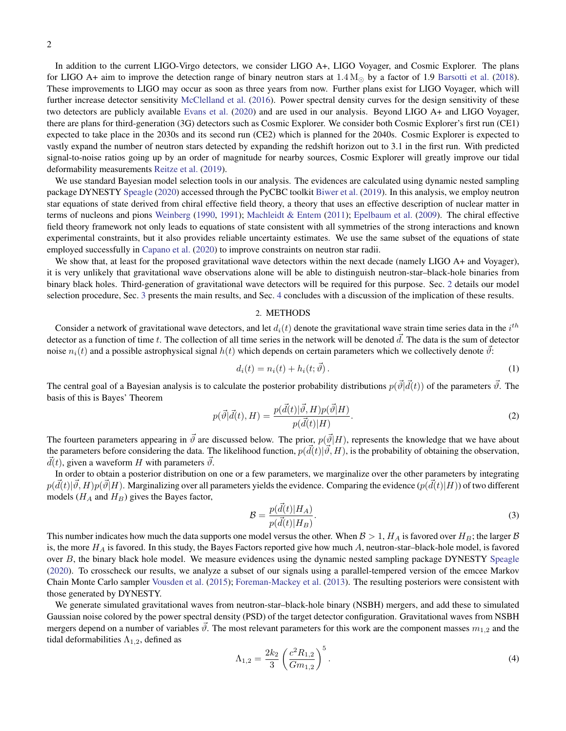In addition to the current LIGO-Virgo detectors, we consider LIGO A+, LIGO Voyager, and Cosmic Explorer. The plans for LIGO A+ aim to improve the detection range of binary neutron stars at  $1.4 M_{\odot}$  by a factor of 1.9 [Barsotti et al.](#page-6-6) [\(2018\)](#page-6-6). These improvements to LIGO may occur as soon as three years from now. Further plans exist for LIGO Voyager, which will further increase detector sensitivity [McClelland et al.](#page-7-5) [\(2016\)](#page-7-5). Power spectral density curves for the design sensitivity of these two detectors are publicly available [Evans et al.](#page-6-7) [\(2020\)](#page-6-7) and are used in our analysis. Beyond LIGO A+ and LIGO Voyager, there are plans for third-generation (3G) detectors such as Cosmic Explorer. We consider both Cosmic Explorer's first run (CE1) expected to take place in the 2030s and its second run (CE2) which is planned for the 2040s. Cosmic Explorer is expected to vastly expand the number of neutron stars detected by expanding the redshift horizon out to 3.1 in the first run. With predicted signal-to-noise ratios going up by an order of magnitude for nearby sources, Cosmic Explorer will greatly improve our tidal deformability measurements [Reitze et al.](#page-7-6) [\(2019\)](#page-7-6).

We use standard Bayesian model selection tools in our analysis. The evidences are calculated using dynamic nested sampling package DYNESTY [Speagle](#page-7-7) [\(2020\)](#page-7-7) accessed through the PyCBC toolkit [Biwer et al.](#page-6-8) [\(2019\)](#page-6-8). In this analysis, we employ neutron star equations of state derived from chiral effective field theory, a theory that uses an effective description of nuclear matter in terms of nucleons and pions [Weinberg](#page-7-8) [\(1990,](#page-7-8) [1991\)](#page-7-9); [Machleidt & Entem](#page-7-10) [\(2011\)](#page-7-10); [Epelbaum et al.](#page-6-9) [\(2009\)](#page-6-9). The chiral effective field theory framework not only leads to equations of state consistent with all symmetries of the strong interactions and known experimental constraints, but it also provides reliable uncertainty estimates. We use the same subset of the equations of state employed successfully in [Capano et al.](#page-6-5) [\(2020\)](#page-6-5) to improve constraints on neutron star radii.

We show that, at least for the proposed gravitational wave detectors within the next decade (namely LIGO A+ and Voyager), it is very unlikely that gravitational wave observations alone will be able to distinguish neutron-star–black-hole binaries from binary black holes. Third-generation of gravitational wave detectors will be required for this purpose. Sec. [2](#page-1-0) details our model selection procedure, Sec. [3](#page-3-0) presents the main results, and Sec. [4](#page-4-0) concludes with a discussion of the implication of these results.

### 2. METHODS

<span id="page-1-0"></span>Consider a network of gravitational wave detectors, and let  $d_i(t)$  denote the gravitational wave strain time series data in the  $i^{th}$ detector as a function of time t. The collection of all time series in the network will be denoted  $\vec{d}$ . The data is the sum of detector noise  $n_i(t)$  and a possible astrophysical signal  $h(t)$  which depends on certain parameters which we collectively denote  $\vartheta$ :

$$
d_i(t) = n_i(t) + h_i(t; \vec{\vartheta}).
$$
\n(1)

The central goal of a Bayesian analysis is to calculate the posterior probability distributions  $p(\vec{\theta}|\vec{d}(t))$  of the parameters  $\vec{\theta}$ . The basis of this is Bayes' Theorem

$$
p(\vec{\vartheta}|\vec{d}(t),H) = \frac{p(\vec{d}(t)|\vec{\vartheta},H)p(\vec{\vartheta}|H)}{p(\vec{d}(t)|H)}.
$$
\n(2)

The fourteen parameters appearing in  $\vec{\theta}$  are discussed below. The prior,  $p(\vec{\theta}|H)$ , represents the knowledge that we have about the parameters before considering the data. The likelihood function,  $p(\vec{d}(t)|\vec{\vartheta}, H)$ , is the probability of obtaining the observation,  $d(t)$ , given a waveform H with parameters  $\vec{\theta}$ .

In order to obtain a posterior distribution on one or a few parameters, we marginalize over the other parameters by integrating  $p(\vec{d}(t)|\vec{\vartheta},H)p(\vec{\vartheta}|H)$ . Marginalizing over all parameters yields the evidence. Comparing the evidence  $(p(\vec{d}(t)|H))$  of two different models ( $H_A$  and  $H_B$ ) gives the Bayes factor,

$$
\mathcal{B} = \frac{p(\vec{d}(t)|H_A)}{p(\vec{d}(t)|H_B)}.\tag{3}
$$

This number indicates how much the data supports one model versus the other. When  $\mathcal{B} > 1$ ,  $H_A$  is favored over  $H_B$ ; the larger  $\mathcal{B}$ is, the more  $H_A$  is favored. In this study, the Bayes Factors reported give how much  $A$ , neutron-star-black-hole model, is favored over B, the binary black hole model. We measure evidences using the dynamic nested sampling package DYNESTY [Speagle](#page-7-7) [\(2020\)](#page-7-7). To crosscheck our results, we analyze a subset of our signals using a parallel-tempered version of the emcee Markov Chain Monte Carlo sampler [Vousden et al.](#page-7-11) [\(2015\)](#page-7-11); [Foreman-Mackey et al.](#page-6-10) [\(2013\)](#page-6-10). The resulting posteriors were consistent with those generated by DYNESTY.

We generate simulated gravitational waves from neutron-star–black-hole binary (NSBH) mergers, and add these to simulated Gaussian noise colored by the power spectral density (PSD) of the target detector configuration. Gravitational waves from NSBH mergers depend on a number of variables  $\hat{\theta}$ . The most relevant parameters for this work are the component masses  $m_{1,2}$  and the tidal deformabilities  $\Lambda_{1,2}$ , defined as

$$
\Lambda_{1,2} = \frac{2k_2}{3} \left( \frac{c^2 R_{1,2}}{Gm_{1,2}} \right)^5.
$$
\n(4)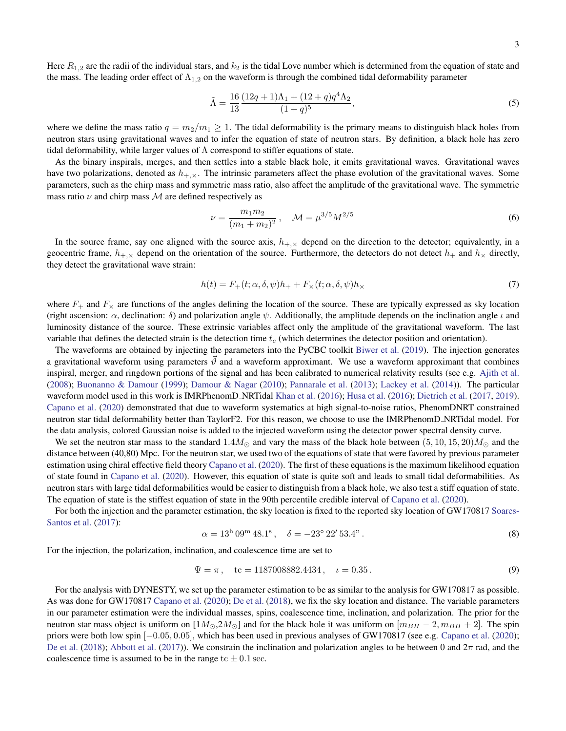Here  $R_{1,2}$  are the radii of the individual stars, and  $k_2$  is the tidal Love number which is determined from the equation of state and the mass. The leading order effect of  $\Lambda_{1,2}$  on the waveform is through the combined tidal deformability parameter

$$
\tilde{\Lambda} = \frac{16}{13} \frac{(12q+1)\Lambda_1 + (12+q)q^4\Lambda_2}{(1+q)^5},
$$
\n(5)

where we define the mass ratio  $q = m_2/m_1 \ge 1$ . The tidal deformability is the primary means to distinguish black holes from neutron stars using gravitational waves and to infer the equation of state of neutron stars. By definition, a black hole has zero tidal deformability, while larger values of  $\Lambda$  correspond to stiffer equations of state.

As the binary inspirals, merges, and then settles into a stable black hole, it emits gravitational waves. Gravitational waves have two polarizations, denoted as  $h_{+\times}$ . The intrinsic parameters affect the phase evolution of the gravitational waves. Some parameters, such as the chirp mass and symmetric mass ratio, also affect the amplitude of the gravitational wave. The symmetric mass ratio  $\nu$  and chirp mass  $\mathcal M$  are defined respectively as

$$
\nu = \frac{m_1 m_2}{(m_1 + m_2)^2}, \quad \mathcal{M} = \mu^{3/5} M^{2/5}
$$
 (6)

In the source frame, say one aligned with the source axis,  $h_{+,\times}$  depend on the direction to the detector; equivalently, in a geocentric frame,  $h_{+,\times}$  depend on the orientation of the source. Furthermore, the detectors do not detect  $h_+$  and  $h_\times$  directly, they detect the gravitational wave strain:

$$
h(t) = F_{+}(t; \alpha, \delta, \psi)h_{+} + F_{\times}(t; \alpha, \delta, \psi)h_{\times}
$$
\n<sup>(7)</sup>

where  $F_+$  and  $F_\times$  are functions of the angles defining the location of the source. These are typically expressed as sky location (right ascension:  $\alpha$ , declination:  $\delta$ ) and polarization angle  $\psi$ . Additionally, the amplitude depends on the inclination angle  $\iota$  and luminosity distance of the source. These extrinsic variables affect only the amplitude of the gravitational waveform. The last variable that defines the detected strain is the detection time  $t_c$  (which determines the detector position and orientation).

The waveforms are obtained by injecting the parameters into the PyCBC toolkit [Biwer et al.](#page-6-8) [\(2019\)](#page-6-8). The injection generates a gravitational waveform using parameters  $\hat{\theta}$  and a waveform approximant. We use a waveform approximant that combines inspiral, merger, and ringdown portions of the signal and has been calibrated to numerical relativity results (see e.g. [Ajith et al.](#page-6-11) [\(2008\)](#page-6-11); [Buonanno & Damour](#page-6-12) [\(1999\)](#page-6-12); [Damour & Nagar](#page-6-13) [\(2010\)](#page-6-13); [Pannarale et al.](#page-7-12) [\(2013\)](#page-7-12); [Lackey et al.](#page-7-13) [\(2014\)](#page-7-13)). The particular waveform model used in this work is IMRPhenomD\_NRTidal [Khan et al.](#page-7-14) [\(2016\)](#page-6-14); [Husa et al.](#page-6-14) (2016); [Dietrich et al.](#page-6-15) [\(2017,](#page-6-15) [2019\)](#page-6-16). [Capano et al.](#page-6-5) [\(2020\)](#page-6-5) demonstrated that due to waveform systematics at high signal-to-noise ratios, PhenomDNRT constrained neutron star tidal deformability better than TaylorF2. For this reason, we choose to use the IMRPhenomD NRTidal model. For the data analysis, colored Gaussian noise is added to the injected waveform using the detector power spectral density curve.

We set the neutron star mass to the standard  $1.4M_{\odot}$  and vary the mass of the black hole between  $(5, 10, 15, 20)M_{\odot}$  and the distance between (40,80) Mpc. For the neutron star, we used two of the equations of state that were favored by previous parameter estimation using chiral effective field theory [Capano et al.](#page-6-5) [\(2020\)](#page-6-5). The first of these equations is the maximum likelihood equation of state found in [Capano et al.](#page-6-5) [\(2020\)](#page-6-5). However, this equation of state is quite soft and leads to small tidal deformabilities. As neutron stars with large tidal deformabilities would be easier to distinguish from a black hole, we also test a stiff equation of state. The equation of state is the stiffest equation of state in the 90th percentile credible interval of [Capano et al.](#page-6-5) [\(2020\)](#page-6-5).

For both the injection and the parameter estimation, the sky location is fixed to the reported sky location of GW170817 [Soares-](#page-7-4)[Santos et al.](#page-7-4) [\(2017\)](#page-7-4):

$$
\alpha = 13^{\mathrm{h}} 09^{\mathrm{m}} 48.1^{\mathrm{s}}, \quad \delta = -23^{\circ} 22' 53.4^{\mathrm{s}}.
$$
\n(8)

For the injection, the polarization, inclination, and coalescence time are set to

$$
\Psi = \pi, \quad \text{tc} = 1187008882.4434, \quad \iota = 0.35. \tag{9}
$$

For the analysis with DYNESTY, we set up the parameter estimation to be as similar to the analysis for GW170817 as possible. As was done for GW170817 [Capano et al.](#page-6-5) [\(2020\)](#page-6-5); [De et al.](#page-6-17) [\(2018\)](#page-6-17), we fix the sky location and distance. The variable parameters in our parameter estimation were the individual masses, spins, coalescence time, inclination, and polarization. The prior for the neutron star mass object is uniform on [ $1M_{\odot}$ , $2M_{\odot}$ ] and for the black hole it was uniform on  $[m_{BH} - 2, m_{BH} + 2]$ . The spin priors were both low spin [−0.05, 0.05], which has been used in previous analyses of GW170817 (see e.g. [Capano et al.](#page-6-5) [\(2020\)](#page-6-5); [De et al.](#page-6-17) [\(2018\)](#page-6-17); [Abbott et al.](#page-6-0) [\(2017\)](#page-6-0)). We constrain the inclination and polarization angles to be between 0 and  $2\pi$  rad, and the coalescence time is assumed to be in the range tc  $\pm$  0.1 sec.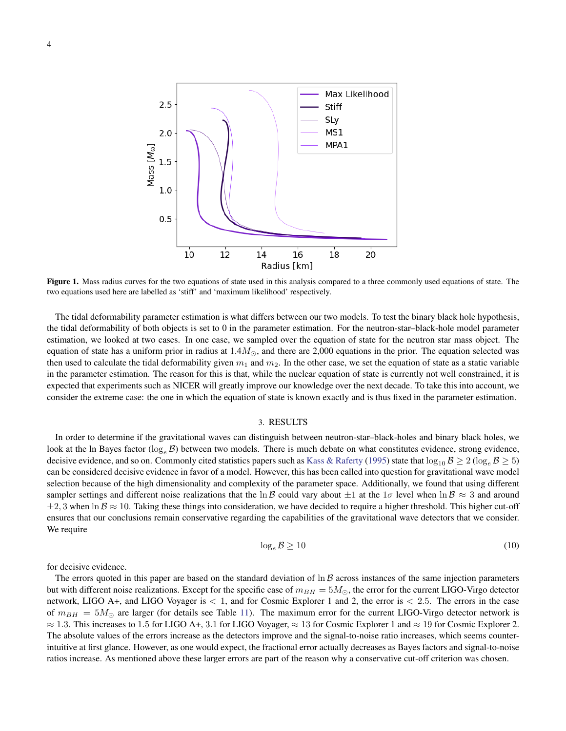

<span id="page-3-1"></span>Figure 1. Mass radius curves for the two equations of state used in this analysis compared to a three commonly used equations of state. The two equations used here are labelled as 'stiff' and 'maximum likelihood' respectively.

The tidal deformability parameter estimation is what differs between our two models. To test the binary black hole hypothesis, the tidal deformability of both objects is set to 0 in the parameter estimation. For the neutron-star–black-hole model parameter estimation, we looked at two cases. In one case, we sampled over the equation of state for the neutron star mass object. The equation of state has a uniform prior in radius at  $1.4M_{\odot}$ , and there are 2,000 equations in the prior. The equation selected was then used to calculate the tidal deformability given  $m_1$  and  $m_2$ . In the other case, we set the equation of state as a static variable in the parameter estimation. The reason for this is that, while the nuclear equation of state is currently not well constrained, it is expected that experiments such as NICER will greatly improve our knowledge over the next decade. To take this into account, we consider the extreme case: the one in which the equation of state is known exactly and is thus fixed in the parameter estimation.

# 3. RESULTS

<span id="page-3-0"></span>In order to determine if the gravitational waves can distinguish between neutron-star–black-holes and binary black holes, we look at the ln Bayes factor ( $\log_e B$ ) between two models. There is much debate on what constitutes evidence, strong evidence, decisive evidence, and so on. Commonly cited statistics papers such as [Kass & Raferty](#page-6-18) [\(1995\)](#page-6-18) state that  $\log_{10} \beta \geq 2$  ( $\log_e \beta \geq 5$ ) can be considered decisive evidence in favor of a model. However, this has been called into question for gravitational wave model selection because of the high dimensionality and complexity of the parameter space. Additionally, we found that using different sampler settings and different noise realizations that the ln B could vary about  $\pm 1$  at the  $1\sigma$  level when  $\ln \mathcal{B} \approx 3$  and around  $\pm 2, 3$  when ln  $\mathcal{B} \approx 10$ . Taking these things into consideration, we have decided to require a higher threshold. This higher cut-off ensures that our conclusions remain conservative regarding the capabilities of the gravitational wave detectors that we consider. We require

<span id="page-3-2"></span>
$$
\log_e B \ge 10\tag{10}
$$

for decisive evidence.

The errors quoted in this paper are based on the standard deviation of  $\ln \beta$  across instances of the same injection parameters but with different noise realizations. Except for the specific case of  $m_{BH} = 5M_{\odot}$ , the error for the current LIGO-Virgo detector network, LIGO A+, and LIGO Voyager is  $< 1$ , and for Cosmic Explorer 1 and 2, the error is  $< 2.5$ . The errors in the case of  $m_{BH} = 5M_{\odot}$  are larger (for details see Table [11\)](#page-11-0). The maximum error for the current LIGO-Virgo detector network is  $\approx 1.3$ . This increases to 1.5 for LIGO A+, 3.1 for LIGO Voyager,  $\approx 13$  for Cosmic Explorer 1 and  $\approx 19$  for Cosmic Explorer 2. The absolute values of the errors increase as the detectors improve and the signal-to-noise ratio increases, which seems counterintuitive at first glance. However, as one would expect, the fractional error actually decreases as Bayes factors and signal-to-noise ratios increase. As mentioned above these larger errors are part of the reason why a conservative cut-off criterion was chosen.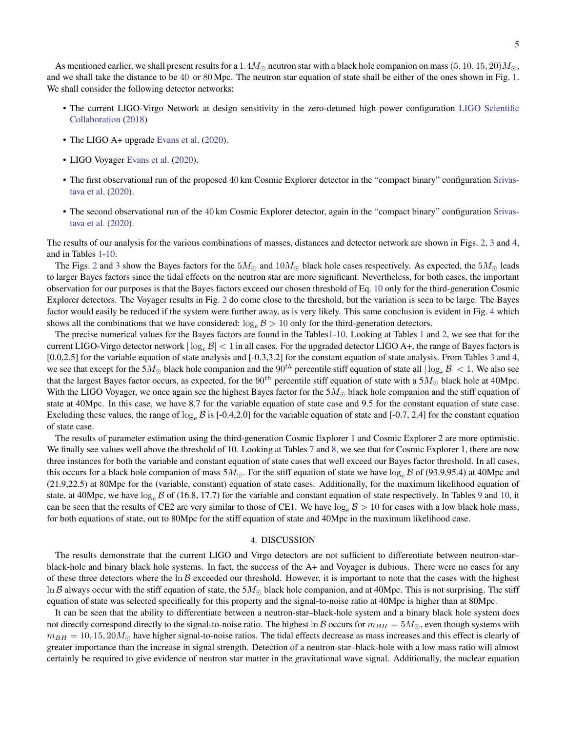As mentioned earlier, we shall present results for a  $1.4M_{\odot}$  neutron star with a black hole companion on mass (5, 10, 15, 20) $M_{\odot}$ , and we shall take the distance to be 40 or 80 Mpc. The neutron star equation of state shall be either of the ones shown in Fig. [1.](#page-3-1) We shall consider the following detector networks:

- The current LIGO-Virgo Network at design sensitivity in the zero-detuned high power configuration [LIGO Scientific](#page-7-15) [Collaboration](#page-7-15) [\(2018\)](#page-7-15)
- The LIGO A+ upgrade [Evans et al.](#page-6-7) [\(2020\)](#page-6-7).
- LIGO Voyager [Evans et al.](#page-6-7) [\(2020\)](#page-6-7).
- The first observational run of the proposed 40 km Cosmic Explorer detector in the "compact binary" configuration [Srivas](#page-7-16)[tava et al.](#page-7-16) [\(2020\)](#page-7-16).
- The second observational run of the 40 km Cosmic Explorer detector, again in the "compact binary" configuration [Srivas](#page-7-16)[tava et al.](#page-7-16) [\(2020\)](#page-7-16).

The results of our analysis for the various combinations of masses, distances and detector network are shown in Figs. [2,](#page-5-0) [3](#page-5-1) and [4,](#page-6-19) and in Tables [1](#page-8-0)[-10.](#page-11-1)

The Figs. [2](#page-5-0) and [3](#page-5-1) show the Bayes factors for the  $5M_{\odot}$  and  $10M_{\odot}$  black hole cases respectively. As expected, the  $5M_{\odot}$  leads to larger Bayes factors since the tidal effects on the neutron star are more significant. Nevertheless, for both cases, the important observation for our purposes is that the Bayes factors exceed our chosen threshold of Eq. [10](#page-3-2) only for the third-generation Cosmic Explorer detectors. The Voyager results in Fig. [2](#page-5-0) do come close to the threshold, but the variation is seen to be large. The Bayes factor would easily be reduced if the system were further away, as is very likely. This same conclusion is evident in Fig. [4](#page-6-19) which shows all the combinations that we have considered:  $\log_e \mathcal{B} > 10$  only for the third-generation detectors.

The precise numerical values for the Bayes factors are found in the Table[s1-](#page-8-0)[10.](#page-11-1) Looking at Tables [1](#page-8-0) and [2,](#page-8-1) we see that for the current LIGO-Virgo detector network  $|\log_e \mathcal{B}| < 1$  in all cases. For the upgraded detector LIGO A+, the range of Bayes factors is [0.0,2.5] for the variable equation of state analysis and [-0.3,3.2] for the constant equation of state analysis. From Tables [3](#page-9-0) and [4,](#page-9-1) we see that except for the  $5M_{\odot}$  black hole companion and the  $90^{th}$  percentile stiff equation of state all  $|\log_e \mathcal{B}| < 1$ . We also see that the largest Bayes factor occurs, as expected, for the  $90^{th}$  percentile stiff equation of state with a  $5M_{\odot}$  black hole at 40Mpc. With the LIGO Voyager, we once again see the highest Bayes factor for the  $5M_{\odot}$  black hole companion and the stiff equation of state at 40Mpc. In this case, we have 8.7 for the variable equation of state case and 9.5 for the constant equation of state case. Excluding these values, the range of  $\log_e \mathcal{B}$  is [-0.4,2.0] for the variable equation of state and [-0.7, 2.4] for the constant equation of state case.

The results of parameter estimation using the third-generation Cosmic Explorer 1 and Cosmic Explorer 2 are more optimistic. We finally see values well above the threshold of 10. Looking at Tables [7](#page-10-0) and [8,](#page-10-1) we see that for Cosmic Explorer 1, there are now three instances for both the variable and constant equation of state cases that well exceed our Bayes factor threshold. In all cases, this occurs for a black hole companion of mass  $5M_{\odot}$ . For the stiff equation of state we have  $\log_e \mathcal{B}$  of (93.9,95.4) at 40Mpc and (21.9,22.5) at 80Mpc for the (variable, constant) equation of state cases. Additionally, for the maximum likelihood equation of state, at 40Mpc, we have  $\log_e \beta$  of (16.8, 17.7) for the variable and constant equation of state respectively. In Tables [9](#page-11-2) and [10,](#page-11-1) it can be seen that the results of CE2 are very similar to those of CE1. We have  $log_e B > 10$  for cases with a low black hole mass, for both equations of state, out to 80Mpc for the stiff equation of state and 40Mpc in the maximum likelihood case.

#### 4. DISCUSSION

<span id="page-4-0"></span>The results demonstrate that the current LIGO and Virgo detectors are not sufficient to differentiate between neutron-star– black-hole and binary black hole systems. In fact, the success of the A+ and Voyager is dubious. There were no cases for any of these three detectors where the  $\ln \beta$  exceeded our threshold. However, it is important to note that the cases with the highest In B always occur with the stiff equation of state, the  $5M_{\odot}$  black hole companion, and at 40Mpc. This is not surprising. The stiff equation of state was selected specifically for this property and the signal-to-noise ratio at 40Mpc is higher than at 80Mpc.

It can be seen that the ability to differentiate between a neutron-star–black-hole system and a binary black hole system does not directly correspond directly to the signal-to-noise ratio. The highest  $\ln \mathcal{B}$  occurs for  $m_{BH} = 5M_{\odot}$ , even though systems with  $m_{BH} = 10, 15, 20 M_{\odot}$  have higher signal-to-noise ratios. The tidal effects decrease as mass increases and this effect is clearly of greater importance than the increase in signal strength. Detection of a neutron-star–black-hole with a low mass ratio will almost certainly be required to give evidence of neutron star matter in the gravitational wave signal. Additionally, the nuclear equation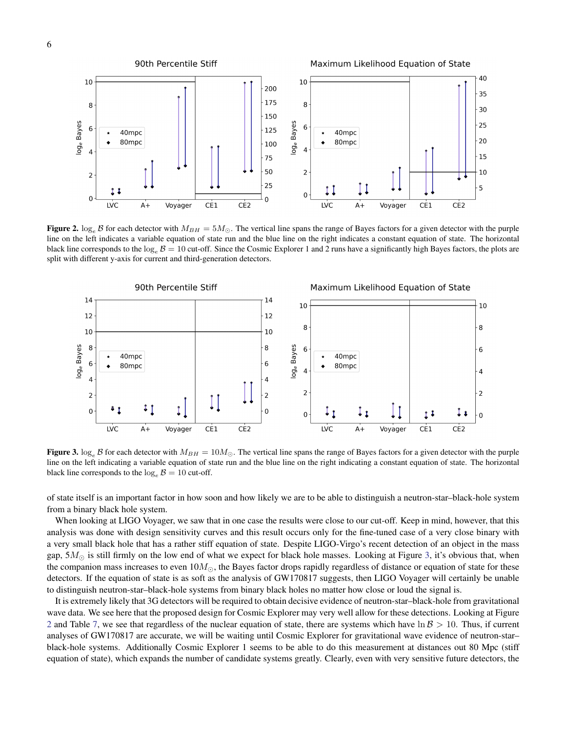

<span id="page-5-0"></span>Figure 2.  $\log_e B$  for each detector with  $M_{BH} = 5M_{\odot}$ . The vertical line spans the range of Bayes factors for a given detector with the purple line on the left indicates a variable equation of state run and the blue line on the right indicates a constant equation of state. The horizontal black line corresponds to the  $\log_e \mathcal{B} = 10$  cut-off. Since the Cosmic Explorer 1 and 2 runs have a significantly high Bayes factors, the plots are split with different y-axis for current and third-generation detectors.



<span id="page-5-1"></span>Figure 3.  $\log_e B$  for each detector with  $M_{BH} = 10 M_{\odot}$ . The vertical line spans the range of Bayes factors for a given detector with the purple line on the left indicating a variable equation of state run and the blue line on the right indicating a constant equation of state. The horizontal black line corresponds to the  $log_e B = 10$  cut-off.

of state itself is an important factor in how soon and how likely we are to be able to distinguish a neutron-star–black-hole system from a binary black hole system.

When looking at LIGO Voyager, we saw that in one case the results were close to our cut-off. Keep in mind, however, that this analysis was done with design sensitivity curves and this result occurs only for the fine-tuned case of a very close binary with a very small black hole that has a rather stiff equation of state. Despite LIGO-Virgo's recent detection of an object in the mass gap,  $5M_{\odot}$  is still firmly on the low end of what we expect for black hole masses. Looking at Figure [3,](#page-5-1) it's obvious that, when the companion mass increases to even  $10M_{\odot}$ , the Bayes factor drops rapidly regardless of distance or equation of state for these detectors. If the equation of state is as soft as the analysis of GW170817 suggests, then LIGO Voyager will certainly be unable to distinguish neutron-star–black-hole systems from binary black holes no matter how close or loud the signal is.

It is extremely likely that 3G detectors will be required to obtain decisive evidence of neutron-star–black-hole from gravitational wave data. We see here that the proposed design for Cosmic Explorer may very well allow for these detections. Looking at Figure [2](#page-5-0) and Table [7,](#page-10-0) we see that regardless of the nuclear equation of state, there are systems which have  $\ln \mathcal{B} > 10$ . Thus, if current analyses of GW170817 are accurate, we will be waiting until Cosmic Explorer for gravitational wave evidence of neutron-star– black-hole systems. Additionally Cosmic Explorer 1 seems to be able to do this measurement at distances out 80 Mpc (stiff equation of state), which expands the number of candidate systems greatly. Clearly, even with very sensitive future detectors, the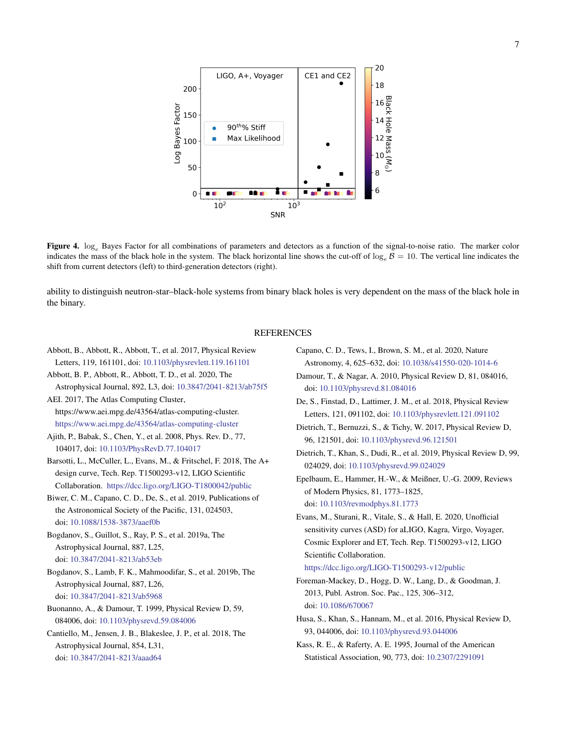20 CE1 and CE2 LIGO, A+, Voyager 18 200  $16\frac{8}{9}$ Log Bayes Factor 150  $\frac{14}{\frac{5}{\pi}}$ 90<sup>th %</sup> Stiff  $\frac{12}{\substack{80 \ 10}}$ Max Likelihood 100  $10$ 50 8 6 a an  $\Omega$ п.  $10<sup>2</sup>$  $10<sup>3</sup>$ **SNR** 

<span id="page-6-19"></span>Figure 4.  $\log_e$  Bayes Factor for all combinations of parameters and detectors as a function of the signal-to-noise ratio. The marker color indicates the mass of the black hole in the system. The black horizontal line shows the cut-off of  $\log_e B = 10$ . The vertical line indicates the shift from current detectors (left) to third-generation detectors (right).

ability to distinguish neutron-star–black-hole systems from binary black holes is very dependent on the mass of the black hole in the binary.

### REFERENCES

- <span id="page-6-0"></span>Abbott, B., Abbott, R., Abbott, T., et al. 2017, Physical Review Letters, 119, 161101, doi: [10.1103/physrevlett.119.161101](http://doi.org/10.1103/physrevlett.119.161101)
- <span id="page-6-1"></span>Abbott, B. P., Abbott, R., Abbott, T. D., et al. 2020, The Astrophysical Journal, 892, L3, doi: [10.3847/2041-8213/ab75f5](http://doi.org/10.3847/2041-8213/ab75f5)

<span id="page-6-20"></span>AEI. 2017, The Atlas Computing Cluster, https://www.aei.mpg.de/43564/atlas-computing-cluster. <https://www.aei.mpg.de/43564/atlas-computing-cluster>

- <span id="page-6-11"></span>Ajith, P., Babak, S., Chen, Y., et al. 2008, Phys. Rev. D., 77, 104017, doi: [10.1103/PhysRevD.77.104017](http://doi.org/10.1103/PhysRevD.77.104017)
- <span id="page-6-6"></span>Barsotti, L., McCuller, L., Evans, M., & Fritschel, F. 2018, The A+ design curve, Tech. Rep. T1500293-v12, LIGO Scientific Collaboration. <https://dcc.ligo.org/LIGO-T1800042/public>
- <span id="page-6-8"></span>Biwer, C. M., Capano, C. D., De, S., et al. 2019, Publications of the Astronomical Society of the Pacific, 131, 024503, doi: [10.1088/1538-3873/aaef0b](http://doi.org/10.1088/1538-3873/aaef0b)

<span id="page-6-2"></span>Bogdanov, S., Guillot, S., Ray, P. S., et al. 2019a, The Astrophysical Journal, 887, L25, doi: [10.3847/2041-8213/ab53eb](http://doi.org/10.3847/2041-8213/ab53eb)

<span id="page-6-3"></span>Bogdanov, S., Lamb, F. K., Mahmoodifar, S., et al. 2019b, The Astrophysical Journal, 887, L26, doi: [10.3847/2041-8213/ab5968](http://doi.org/10.3847/2041-8213/ab5968)

<span id="page-6-12"></span>Buonanno, A., & Damour, T. 1999, Physical Review D, 59, 084006, doi: [10.1103/physrevd.59.084006](http://doi.org/10.1103/physrevd.59.084006)

<span id="page-6-4"></span>Cantiello, M., Jensen, J. B., Blakeslee, J. P., et al. 2018, The Astrophysical Journal, 854, L31, doi: [10.3847/2041-8213/aaad64](http://doi.org/10.3847/2041-8213/aaad64)

<span id="page-6-5"></span>Capano, C. D., Tews, I., Brown, S. M., et al. 2020, Nature Astronomy, 4, 625–632, doi: [10.1038/s41550-020-1014-6](http://doi.org/10.1038/s41550-020-1014-6)

- <span id="page-6-13"></span>Damour, T., & Nagar, A. 2010, Physical Review D, 81, 084016, doi: [10.1103/physrevd.81.084016](http://doi.org/10.1103/physrevd.81.084016)
- <span id="page-6-17"></span>De, S., Finstad, D., Lattimer, J. M., et al. 2018, Physical Review Letters, 121, 091102, doi: [10.1103/physrevlett.121.091102](http://doi.org/10.1103/physrevlett.121.091102)
- <span id="page-6-15"></span>Dietrich, T., Bernuzzi, S., & Tichy, W. 2017, Physical Review D, 96, 121501, doi: [10.1103/physrevd.96.121501](http://doi.org/10.1103/physrevd.96.121501)

<span id="page-6-16"></span>Dietrich, T., Khan, S., Dudi, R., et al. 2019, Physical Review D, 99, 024029, doi: [10.1103/physrevd.99.024029](http://doi.org/10.1103/physrevd.99.024029)

<span id="page-6-9"></span>Epelbaum, E., Hammer, H.-W., & Meißner, U.-G. 2009, Reviews of Modern Physics, 81, 1773–1825, doi: [10.1103/revmodphys.81.1773](http://doi.org/10.1103/revmodphys.81.1773)

<span id="page-6-7"></span>Evans, M., Sturani, R., Vitale, S., & Hall, E. 2020, Unofficial sensitivity curves (ASD) for aLIGO, Kagra, Virgo, Voyager, Cosmic Explorer and ET, Tech. Rep. T1500293-v12, LIGO Scientific Collaboration.

<https://dcc.ligo.org/LIGO-T1500293-v12/public>

- <span id="page-6-10"></span>Foreman-Mackey, D., Hogg, D. W., Lang, D., & Goodman, J. 2013, Publ. Astron. Soc. Pac., 125, 306–312, doi: [10.1086/670067](http://doi.org/10.1086/670067)
- <span id="page-6-14"></span>Husa, S., Khan, S., Hannam, M., et al. 2016, Physical Review D, 93, 044006, doi: [10.1103/physrevd.93.044006](http://doi.org/10.1103/physrevd.93.044006)
- <span id="page-6-18"></span>Kass, R. E., & Raferty, A. E. 1995, Journal of the American Statistical Association, 90, 773, doi: [10.2307/2291091](http://doi.org/10.2307/2291091)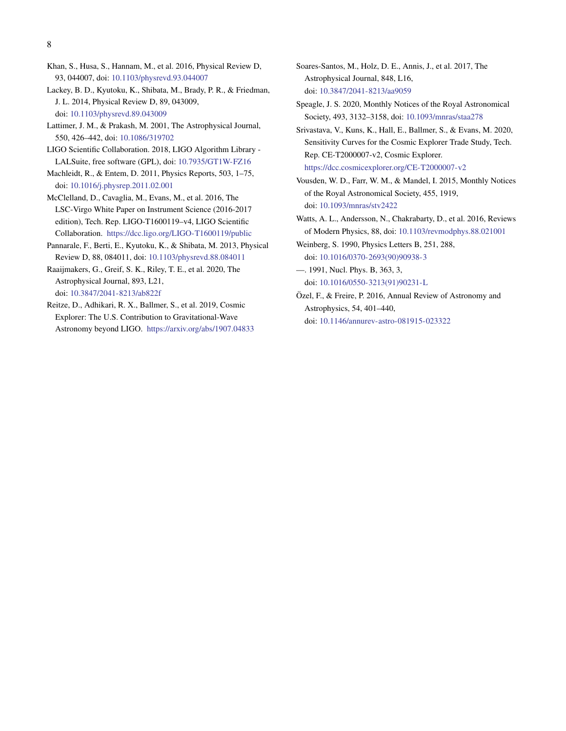- <span id="page-7-14"></span>Khan, S., Husa, S., Hannam, M., et al. 2016, Physical Review D, 93, 044007, doi: [10.1103/physrevd.93.044007](http://doi.org/10.1103/physrevd.93.044007)
- <span id="page-7-13"></span>Lackey, B. D., Kyutoku, K., Shibata, M., Brady, P. R., & Friedman, J. L. 2014, Physical Review D, 89, 043009, doi: [10.1103/physrevd.89.043009](http://doi.org/10.1103/physrevd.89.043009)
- <span id="page-7-0"></span>Lattimer, J. M., & Prakash, M. 2001, The Astrophysical Journal, 550, 426–442, doi: [10.1086/319702](http://doi.org/10.1086/319702)
- <span id="page-7-15"></span>LIGO Scientific Collaboration. 2018, LIGO Algorithm Library - LALSuite, free software (GPL), doi: [10.7935/GT1W-FZ16](http://doi.org/10.7935/GT1W-FZ16)
- <span id="page-7-10"></span>Machleidt, R., & Entem, D. 2011, Physics Reports, 503, 1–75, doi: [10.1016/j.physrep.2011.02.001](http://doi.org/10.1016/j.physrep.2011.02.001)
- <span id="page-7-5"></span>McClelland, D., Cavaglia, M., Evans, M., et al. 2016, The LSC-Virgo White Paper on Instrument Science (2016-2017 edition), Tech. Rep. LIGO-T1600119–v4, LIGO Scientific Collaboration. <https://dcc.ligo.org/LIGO-T1600119/public>
- <span id="page-7-12"></span>Pannarale, F., Berti, E., Kyutoku, K., & Shibata, M. 2013, Physical Review D, 88, 084011, doi: [10.1103/physrevd.88.084011](http://doi.org/10.1103/physrevd.88.084011)
- <span id="page-7-3"></span>Raaijmakers, G., Greif, S. K., Riley, T. E., et al. 2020, The Astrophysical Journal, 893, L21, doi: [10.3847/2041-8213/ab822f](http://doi.org/10.3847/2041-8213/ab822f)
- <span id="page-7-6"></span>Reitze, D., Adhikari, R. X., Ballmer, S., et al. 2019, Cosmic Explorer: The U.S. Contribution to Gravitational-Wave Astronomy beyond LIGO. <https://arxiv.org/abs/1907.04833>
- <span id="page-7-4"></span>Soares-Santos, M., Holz, D. E., Annis, J., et al. 2017, The Astrophysical Journal, 848, L16, doi: [10.3847/2041-8213/aa9059](http://doi.org/10.3847/2041-8213/aa9059)
- <span id="page-7-7"></span>Speagle, J. S. 2020, Monthly Notices of the Royal Astronomical Society, 493, 3132–3158, doi: [10.1093/mnras/staa278](http://doi.org/10.1093/mnras/staa278)
- <span id="page-7-16"></span>Srivastava, V., Kuns, K., Hall, E., Ballmer, S., & Evans, M. 2020, Sensitivity Curves for the Cosmic Explorer Trade Study, Tech. Rep. CE-T2000007-v2, Cosmic Explorer. <https://dcc.cosmicexplorer.org/CE-T2000007-v2>
- <span id="page-7-11"></span>Vousden, W. D., Farr, W. M., & Mandel, I. 2015, Monthly Notices of the Royal Astronomical Society, 455, 1919, doi: [10.1093/mnras/stv2422](http://doi.org/10.1093/mnras/stv2422)
- <span id="page-7-2"></span>Watts, A. L., Andersson, N., Chakrabarty, D., et al. 2016, Reviews of Modern Physics, 88, doi: [10.1103/revmodphys.88.021001](http://doi.org/10.1103/revmodphys.88.021001)
- <span id="page-7-8"></span>Weinberg, S. 1990, Physics Letters B, 251, 288, doi: [10.1016/0370-2693\(90\)90938-3](http://doi.org/10.1016/0370-2693(90)90938-3)
- <span id="page-7-9"></span>—. 1991, Nucl. Phys. B, 363, 3, doi: [10.1016/0550-3213\(91\)90231-L](http://doi.org/10.1016/0550-3213(91)90231-L)
- <span id="page-7-1"></span>Ozel, F., & Freire, P. 2016, Annual Review of Astronomy and ¨ Astrophysics, 54, 401–440, doi: [10.1146/annurev-astro-081915-023322](http://doi.org/10.1146/annurev-astro-081915-023322)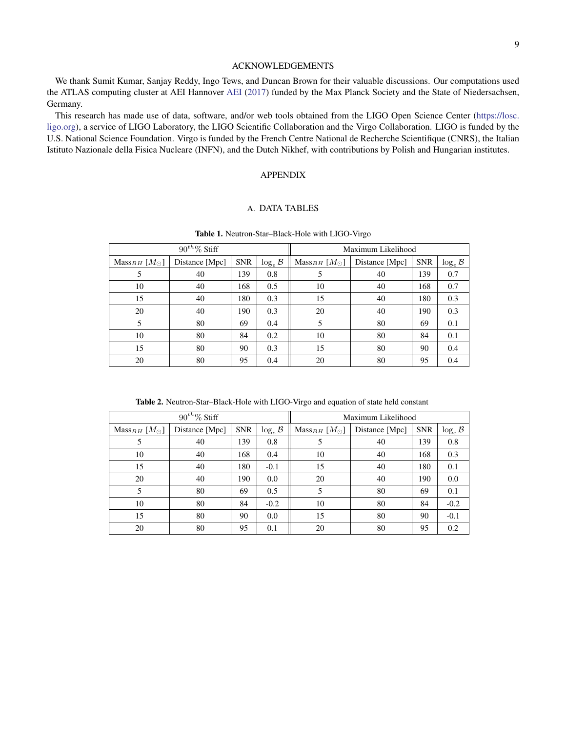# ACKNOWLEDGEMENTS

We thank Sumit Kumar, Sanjay Reddy, Ingo Tews, and Duncan Brown for their valuable discussions. Our computations used the ATLAS computing cluster at AEI Hannover [AEI](#page-6-20) [\(2017\)](#page-6-20) funded by the Max Planck Society and the State of Niedersachsen, Germany.

This research has made use of data, software, and/or web tools obtained from the LIGO Open Science Center [\(https://losc.](https://losc.ligo.org) [ligo.org\)](https://losc.ligo.org), a service of LIGO Laboratory, the LIGO Scientific Collaboration and the Virgo Collaboration. LIGO is funded by the U.S. National Science Foundation. Virgo is funded by the French Centre National de Recherche Scientifique (CNRS), the Italian Istituto Nazionale della Fisica Nucleare (INFN), and the Dutch Nikhef, with contributions by Polish and Hungarian institutes.

### APPENDIX

# A. DATA TABLES

<span id="page-8-0"></span>

|                                  | $90^{th}\%$ Stiff |            |                      | Maximum Likelihood                            |    |            |                      |  |
|----------------------------------|-------------------|------------|----------------------|-----------------------------------------------|----|------------|----------------------|--|
| Mass <sub>BH</sub> $[M_{\odot}]$ | Distance [Mpc]    | <b>SNR</b> | $\log_e \mathcal{B}$ | $Mass_{BH}$ [ $M_{\odot}$ ]<br>Distance [Mpc] |    | <b>SNR</b> | $\log_e \mathcal{B}$ |  |
| 5                                | 40                | 139        | 0.8                  | 5                                             | 40 |            | 0.7                  |  |
| 10                               | 40                | 168        | 0.5                  | 10                                            | 40 | 168        | 0.7                  |  |
| 15                               | 40                | 180        | 0.3                  | 15                                            | 40 | 180        | 0.3                  |  |
| 20                               | 40                | 190        | 0.3                  | 20                                            | 40 | 190        | 0.3                  |  |
| 5                                | 80                | 69         | 0.4                  | 5                                             | 80 | 69         | 0.1                  |  |
| 10                               | 80                | 84         | 0.2                  | 10                                            | 80 | 84         | 0.1                  |  |
| 15                               | 80                | 90         | 0.3                  | 15                                            | 80 | 90         | 0.4                  |  |
| 20                               | 80                | 95         | 0.4                  | 20                                            | 80 | 95         | 0.4                  |  |

Table 1. Neutron-Star–Black-Hole with LIGO-Virgo

Table 2. Neutron-Star–Black-Hole with LIGO-Virgo and equation of state held constant

<span id="page-8-1"></span>

|                               | $90^{th}\%$ Stiff |            |                                                                       | Maximum Likelihood |            |                      |        |
|-------------------------------|-------------------|------------|-----------------------------------------------------------------------|--------------------|------------|----------------------|--------|
| $Mass_{BH}$ [M <sub>o</sub> ] | Distance [Mpc]    | <b>SNR</b> | $\log_e \mathcal{B}$<br>$Mass_{BH}$ [ $M_{\odot}$ ]<br>Distance [Mpc] |                    | <b>SNR</b> | $\log_e \mathcal{B}$ |        |
| 5                             | 40                | 139        | 0.8                                                                   | 5                  | 40         | 139                  | 0.8    |
| 10                            | 40                | 168        | 0.4                                                                   | 10                 | 40         | 168                  | 0.3    |
| 15                            | 40                | 180        | $-0.1$                                                                | 15                 | 40         |                      | 0.1    |
| 20                            | 40                | 190        | 0.0                                                                   | 20                 | 40         | 190                  | 0.0    |
| 5                             | 80                | 69         | 0.5                                                                   | 5                  | 80         | 69                   | 0.1    |
| 10                            | 80                | 84         | $-0.2$                                                                | 10                 | 80         | 84                   | $-0.2$ |
| 15                            | 80                | 90         | 0.0                                                                   | 15                 | 80         | 90                   | $-0.1$ |
| 20                            | 80                | 95         | 0.1                                                                   | 20                 | 80         | 95                   | 0.2    |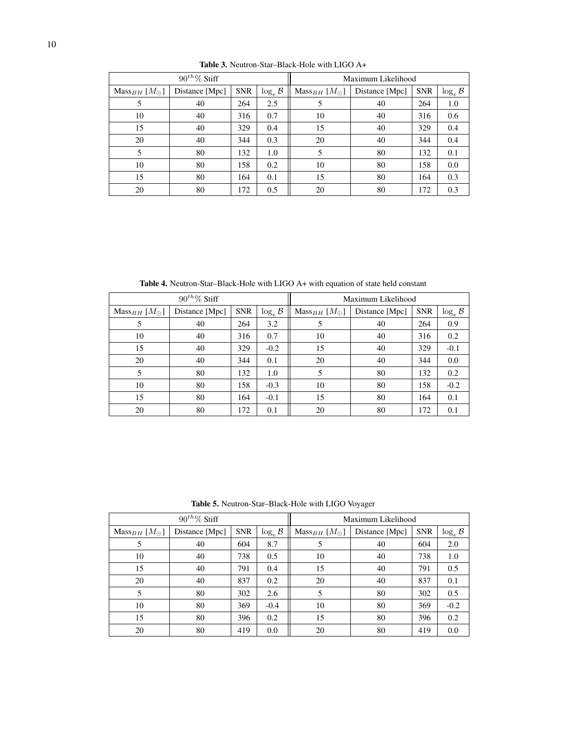<span id="page-9-0"></span>

|                             | $90^{th}\%$ Stiff |            |                      | Maximum Likelihood                            |    |            |                     |
|-----------------------------|-------------------|------------|----------------------|-----------------------------------------------|----|------------|---------------------|
| $Mass_{BH}$ [ $M_{\odot}$ ] | Distance [Mpc]    | <b>SNR</b> | $\log_e \mathcal{B}$ | $Mass_{BH}$ [ $M_{\odot}$ ]<br>Distance [Mpc] |    | <b>SNR</b> | $\log_e\mathcal{B}$ |
| 5                           | 40                | 264        | 2.5                  | 5                                             | 40 | 264        | 1.0                 |
| 10                          | 40                | 316        | 0.7                  | 10                                            | 40 | 316        | 0.6                 |
| 15                          | 40                | 329        | 0.4                  | 15                                            | 40 | 329        | 0.4                 |
| 20                          | 40                | 344        | 0.3                  | 20                                            | 40 | 344        | 0.4                 |
| 5                           | 80                | 132        | 1.0                  | 5                                             | 80 | 132        | 0.1                 |
| 10                          | 80                | 158        | 0.2                  | 10                                            | 80 | 158        | 0.0                 |
| 15                          | 80                | 164        | 0.1                  | 15                                            | 80 | 164        | 0.3                 |
| 20                          | 80                | 172        | 0.5                  | 20                                            | 80 | 172        | 0.3                 |

Table 3. Neutron-Star–Black-Hole with LIGO A+

Table 4. Neutron-Star–Black-Hole with LIGO A+ with equation of state held constant

<span id="page-9-1"></span>

|                             | $90^{th}\%$ Stiff |            |                                                                       | Maximum Likelihood |            |                      |        |
|-----------------------------|-------------------|------------|-----------------------------------------------------------------------|--------------------|------------|----------------------|--------|
| $Mass_{BH}$ [ $M_{\odot}$ ] | Distance [Mpc]    | <b>SNR</b> | $\log_e \mathcal{B}$<br>$Mass_{BH}$ [ $M_{\odot}$ ]<br>Distance [Mpc] |                    | <b>SNR</b> | $\log_e \mathcal{B}$ |        |
| 5                           | 40                | 264        | 3.2                                                                   |                    | 40         | 264                  | 0.9    |
| 10                          | 40                | 316        | 0.7                                                                   | 10                 | 40         | 316                  | 0.2    |
| 15                          | 40                | 329        | $-0.2$                                                                | 15                 | 40         | 329                  | $-0.1$ |
| 20                          | 40                | 344        | 0.1                                                                   | 20                 | 40         | 344                  | 0.0    |
| 5                           | 80                | 132        | 1.0                                                                   | 5                  | 80         | 132                  | 0.2    |
| 10                          | 80                | 158        | $-0.3$                                                                | 10                 | 80         | 158                  | $-0.2$ |
| 15                          | 80                | 164        | $-0.1$                                                                | 15                 | 80         | 164                  | 0.1    |
| 20                          | 80                | 172        | 0.1                                                                   | 20                 | 80         | 172                  | 0.1    |

Table 5. Neutron-Star–Black-Hole with LIGO Voyager

|                             | $90^{th}\%$ Stiff |            |                      | Maximum Likelihood                            |    |            |                      |
|-----------------------------|-------------------|------------|----------------------|-----------------------------------------------|----|------------|----------------------|
| $Mass_{BH}$ [ $M_{\odot}$ ] | Distance [Mpc]    | <b>SNR</b> | $\log_e \mathcal{B}$ | $Mass_{BH}$ [ $M_{\odot}$ ]<br>Distance [Mpc] |    | <b>SNR</b> | $\log_e \mathcal{B}$ |
| 5                           | 40                | 604        | 8.7                  | 5                                             | 40 | 604        | 2.0                  |
| 10                          | 40                | 738        | 0.5                  | 10                                            | 40 | 738        | 1.0                  |
| 15                          | 40                | 791        | 0.4                  | 15<br>40                                      |    | 791        | 0.5                  |
| 20                          | 40                | 837        | 0.2                  | 20                                            | 40 | 837        | 0.1                  |
| 5                           | 80                | 302        | 2.6                  | 5                                             | 80 | 302        | 0.5                  |
| 10                          | 80                | 369        |                      | 10                                            | 80 | 369        | $-0.2$               |
| 15                          | 80                | 396        | 0.2                  | 15                                            | 80 | 396        | 0.2                  |
| 20                          | 80                | 419        | 0.0                  | 20                                            | 80 | 419        | 0.0                  |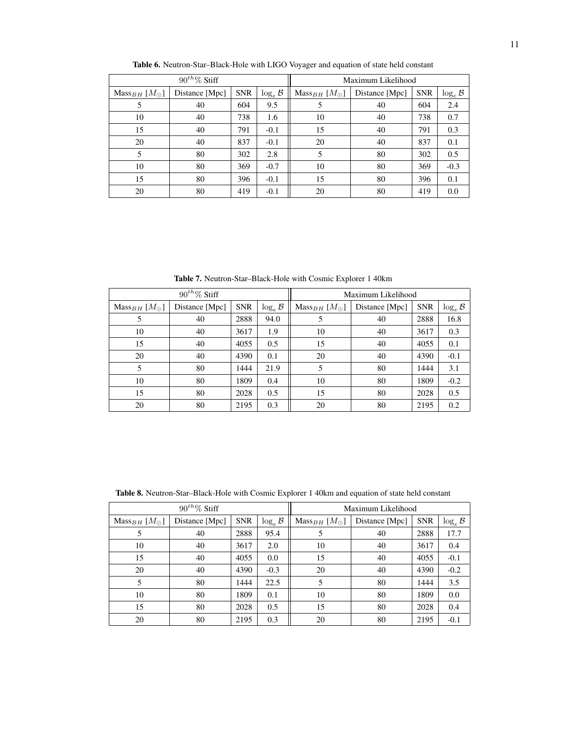|                             | $90^{th}\%$ Stiff |            |                                                                                          | Maximum Likelihood |    |     |                             |  |
|-----------------------------|-------------------|------------|------------------------------------------------------------------------------------------|--------------------|----|-----|-----------------------------|--|
| $Mass_{BH}$ [ $M_{\odot}$ ] | Distance [Mpc]    | <b>SNR</b> | $\log_e \mathcal{B}$<br><b>SNR</b><br>Mass <sub>BH</sub> $[M_{\odot}]$<br>Distance [Mpc] |                    |    |     |                             |  |
| 5                           | 40                | 604        | 9.5                                                                                      | 5                  | 40 | 604 | $\log_e \mathcal{B}$<br>2.4 |  |
| 10                          | 40                | 738        | 1.6                                                                                      | 10                 | 40 | 738 | 0.7                         |  |
| 15                          | 40                | 791        | $-0.1$                                                                                   | 15                 | 40 | 791 | 0.3                         |  |
| 20                          | 40                | 837        | $-0.1$                                                                                   | 20                 | 40 | 837 | 0.1                         |  |
| 5                           | 80                | 302        | 2.8                                                                                      | 5                  | 80 | 302 | 0.5                         |  |
| 10                          | 80                | 369        | $-0.7$                                                                                   | 10                 | 80 | 369 | $-0.3$                      |  |
| 15                          | 80                | 396        | $-0.1$                                                                                   | 15                 | 80 | 396 | 0.1                         |  |
| 20                          | 80                | 419        | $-0.1$                                                                                   | 20                 | 80 | 419 | 0.0                         |  |

Table 6. Neutron-Star–Black-Hole with LIGO Voyager and equation of state held constant

Table 7. Neutron-Star–Black-Hole with Cosmic Explorer 1 40km

<span id="page-10-0"></span>

|                             | $90^{th}\%$ Stiff |            |            | Maximum Likelihood          |                |            |                      |
|-----------------------------|-------------------|------------|------------|-----------------------------|----------------|------------|----------------------|
| $Mass_{BH}$ [ $M_{\odot}$ ] | Distance [Mpc]    | <b>SNR</b> | $\log_e B$ | $Mass_{BH}$ [ $M_{\odot}$ ] | Distance [Mpc] | <b>SNR</b> | $\log_e \mathcal{B}$ |
| 5                           | 40                | 2888       | 94.0       |                             | 40             | 2888       | 16.8                 |
| 10                          | 40                | 3617       | 1.9        | 10                          | 40             | 3617       | 0.3                  |
| 15                          | 40                | 4055       | 0.5        | 15                          | 40             | 4055       | 0.1                  |
| 20                          | 40                | 4390       | 0.1        | 20                          | 40             | 4390       | $-0.1$               |
| 5                           | 80                | 1444       | 21.9       | 5                           | 80             | 1444       | 3.1                  |
| 10                          | 80                | 1809       | 0.4        | 10                          | 80             | 1809       | $-0.2$               |
| 15                          | 80                | 2028       | 0.5        | 15                          | 80             | 2028       | 0.5                  |
| 20                          | 80                | 2195       | 0.3        | 20                          | 80             | 2195       | 0.2                  |

Table 8. Neutron-Star–Black-Hole with Cosmic Explorer 1 40km and equation of state held constant

<span id="page-10-1"></span>

|                             | $90^{th}\%$ Stiff |            |                                                     | Maximum Likelihood |                |            |                      |
|-----------------------------|-------------------|------------|-----------------------------------------------------|--------------------|----------------|------------|----------------------|
| $Mass_{BH}$ [ $M_{\odot}$ ] | Distance [Mpc]    | <b>SNR</b> | $\log_e \mathcal{B}$<br>$Mass_{BH}$ [ $M_{\odot}$ ] |                    | Distance [Mpc] | <b>SNR</b> | $\log_e \mathcal{B}$ |
| 5                           | 40                | 2888       | 95.4<br>5                                           |                    | 40             | 2888       | 17.7                 |
| 10                          | 40                | 3617       | 2.0                                                 | 10                 | 40             | 3617       | 0.4                  |
| 15                          | 40                | 4055       | 0.0                                                 | 15                 | 40             | 4055       | $-0.1$               |
| 20                          | 40                | 4390       | $-0.3$                                              | 20                 | 40             | 4390       | $-0.2$               |
| 5                           | 80                | 1444       | 22.5                                                | 5                  | 80             | 1444       | 3.5                  |
| 10                          | 80                | 1809       | 0.1                                                 | 10                 | 80             | 1809       | 0.0                  |
| 15                          | 80                | 2028       | 0.5                                                 | 15                 | 80             | 2028       | 0.4                  |
| 20                          | 80                | 2195       | 0.3                                                 | 20                 | 80             | 2195       | $-0.1$               |